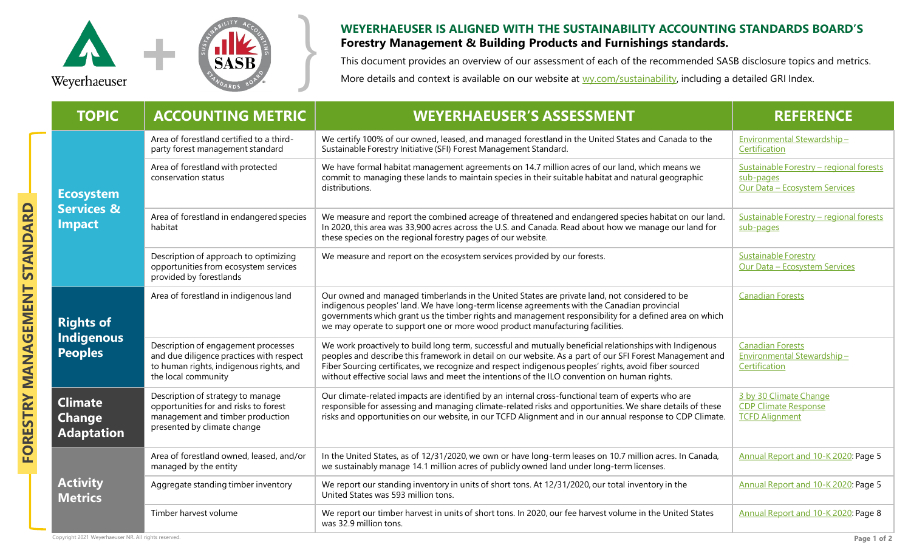

## **WEYERHAEUSER IS ALIGNED WITH THE SUSTAINABILITY ACCOUNTING STANDARDS BOARD'S**<br>**Forestry Management & Building Products and Furnishings standards.**<br>This document provides an overview of our assessment of each of the recomm **Forestry Management & Building Products and Furnishings standards.**

This document provides an overview of our assessment of each of the recommended SASB disclosure topics and metrics. More details and context is available on our website at [wy.com/sustainability,](http://www.wy.com/sustainability) including a detailed GRI Index.

| <b>TOPIC</b>                                               | <b>ACCOUNTING METRIC</b>                                                                                                                          | <b>WEYERHAEUSER'S ASSESSMENT</b>                                                                                                                                                                                                                                                                                                                                                                                              | <b>REFERENCE</b>                                                                      |
|------------------------------------------------------------|---------------------------------------------------------------------------------------------------------------------------------------------------|-------------------------------------------------------------------------------------------------------------------------------------------------------------------------------------------------------------------------------------------------------------------------------------------------------------------------------------------------------------------------------------------------------------------------------|---------------------------------------------------------------------------------------|
| <b>Ecosystem</b><br><b>Services &amp;</b><br><b>Impact</b> | Area of forestland certified to a third-<br>party forest management standard                                                                      | We certify 100% of our owned, leased, and managed forestland in the United States and Canada to the<br>Sustainable Forestry Initiative (SFI) Forest Management Standard.                                                                                                                                                                                                                                                      | Environmental Stewardship-<br>Certification                                           |
|                                                            | Area of forestland with protected<br>conservation status                                                                                          | We have formal habitat management agreements on 14.7 million acres of our land, which means we<br>commit to managing these lands to maintain species in their suitable habitat and natural geographic<br>distributions.                                                                                                                                                                                                       | Sustainable Forestry - regional forests<br>sub-pages<br>Our Data - Ecosystem Services |
|                                                            | Area of forestland in endangered species<br>habitat                                                                                               | We measure and report the combined acreage of threatened and endangered species habitat on our land.<br>In 2020, this area was 33,900 acres across the U.S. and Canada. Read about how we manage our land for<br>these species on the regional forestry pages of our website.                                                                                                                                                 | Sustainable Forestry - regional forests<br>sub-pages                                  |
|                                                            | Description of approach to optimizing<br>opportunities from ecosystem services<br>provided by forestlands                                         | We measure and report on the ecosystem services provided by our forests.                                                                                                                                                                                                                                                                                                                                                      | <b>Sustainable Forestry</b><br>Our Data - Ecosystem Services                          |
| <b>Rights of</b><br>Indigenous<br><b>Peoples</b>           | Area of forestland in indigenous land                                                                                                             | Our owned and managed timberlands in the United States are private land, not considered to be<br>indigenous peoples' land. We have long-term license agreements with the Canadian provincial<br>governments which grant us the timber rights and management responsibility for a defined area on which<br>we may operate to support one or more wood product manufacturing facilities.                                        | <b>Canadian Forests</b>                                                               |
|                                                            | Description of engagement processes<br>and due diligence practices with respect<br>to human rights, indigenous rights, and<br>the local community | We work proactively to build long term, successful and mutually beneficial relationships with Indigenous<br>peoples and describe this framework in detail on our website. As a part of our SFI Forest Management and<br>Fiber Sourcing certificates, we recognize and respect indigenous peoples' rights, avoid fiber sourced<br>without effective social laws and meet the intentions of the ILO convention on human rights. | <b>Canadian Forests</b><br>Environmental Stewardship-<br>Certification                |
| <b>Climate</b><br><b>Change</b><br><b>Adaptation</b>       | Description of strategy to manage<br>opportunities for and risks to forest<br>management and timber production<br>presented by climate change     | Our climate-related impacts are identified by an internal cross-functional team of experts who are<br>responsible for assessing and managing climate-related risks and opportunities. We share details of these<br>risks and opportunities on our website, in our TCFD Alignment and in our annual response to CDP Climate.                                                                                                   | 3 by 30 Climate Change<br><b>CDP Climate Response</b><br><b>TCFD Alignment</b>        |
| <b>Activity</b><br><b>Metrics</b>                          | Area of forestland owned, leased, and/or<br>managed by the entity                                                                                 | In the United States, as of 12/31/2020, we own or have long-term leases on 10.7 million acres. In Canada,<br>we sustainably manage 14.1 million acres of publicly owned land under long-term licenses.                                                                                                                                                                                                                        | Annual Report and 10-K 2020: Page 5                                                   |
|                                                            | Aggregate standing timber inventory                                                                                                               | We report our standing inventory in units of short tons. At 12/31/2020, our total inventory in the<br>United States was 593 million tons.                                                                                                                                                                                                                                                                                     | Annual Report and 10-K 2020: Page 5                                                   |
|                                                            | Timber harvest volume                                                                                                                             | We report our timber harvest in units of short tons. In 2020, our fee harvest volume in the United States<br>was 32.9 million tons.                                                                                                                                                                                                                                                                                           | Annual Report and 10-K 2020: Page 8                                                   |